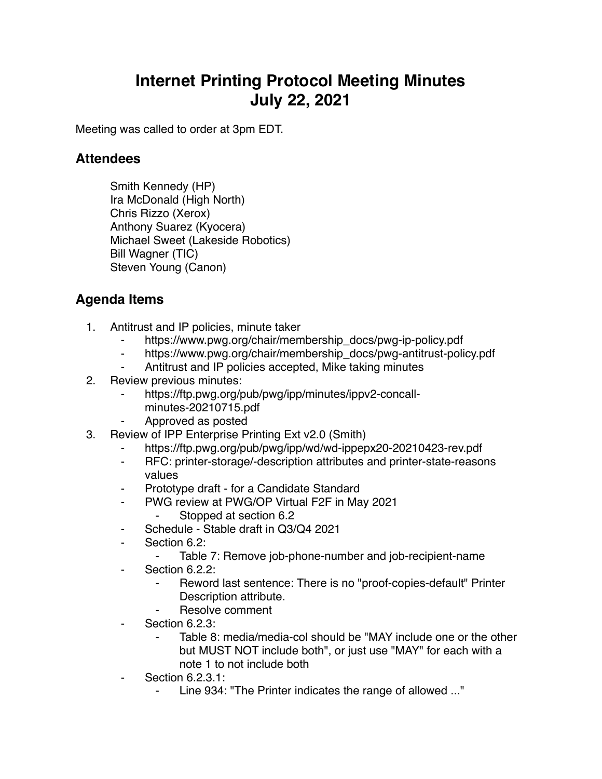## **Internet Printing Protocol Meeting Minutes July 22, 2021**

Meeting was called to order at 3pm EDT.

## **Attendees**

Smith Kennedy (HP) Ira McDonald (High North) Chris Rizzo (Xerox) Anthony Suarez (Kyocera) Michael Sweet (Lakeside Robotics) Bill Wagner (TIC) Steven Young (Canon)

## **Agenda Items**

- 1. Antitrust and IP policies, minute taker
	- ⁃ https://www.pwg.org/chair/membership\_docs/pwg-ip-policy.pdf
	- https://www.pwg.org/chair/membership\_docs/pwg-antitrust-policy.pdf
	- Antitrust and IP policies accepted, Mike taking minutes
- 2. Review previous minutes:
	- https://ftp.pwg.org/pub/pwg/ipp/minutes/ippv2-concallminutes-20210715.pdf
	- ⁃ Approved as posted
- 3. Review of IPP Enterprise Printing Ext v2.0 (Smith)
	- https://ftp.pwg.org/pub/pwg/ipp/wd/wd-ippepx20-20210423-rev.pdf
	- ⁃ RFC: printer-storage/-description attributes and printer-state-reasons values
	- Prototype draft for a Candidate Standard
	- ⁃ PWG review at PWG/OP Virtual F2F in May 2021
		- Stopped at section 6.2
	- Schedule Stable draft in Q3/Q4 2021
	- Section 6.2:
		- ⁃ Table 7: Remove job-phone-number and job-recipient-name
	- Section 6.2.2:
		- Reword last sentence: There is no "proof-copies-default" Printer Description attribute.
		- ⁃ Resolve comment
	- Section 6.2.3:
		- Table 8: media/media-col should be "MAY include one or the other but MUST NOT include both", or just use "MAY" for each with a note 1 to not include both
	- **Section 6.2.3.1:** 
		- Line 934: "The Printer indicates the range of allowed ..."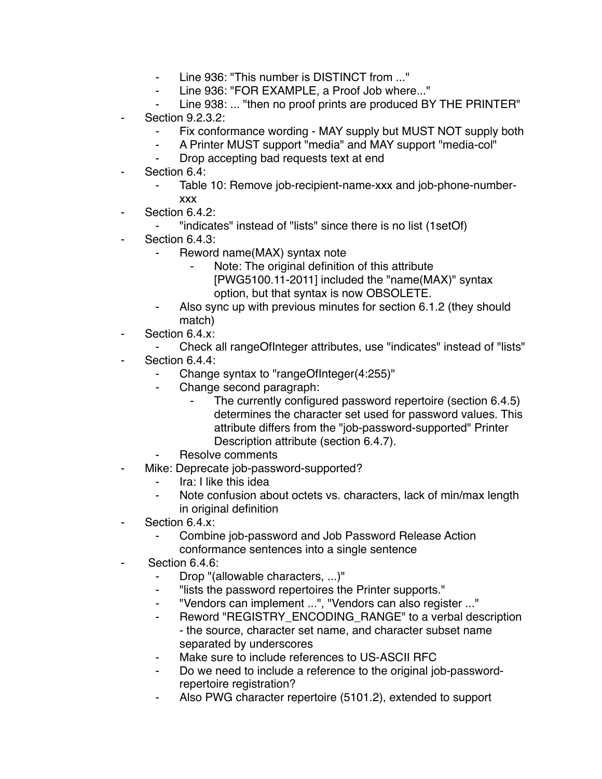- ⁃ Line 936: "This number is DISTINCT from ..."
- ⁃ Line 936: "FOR EXAMPLE, a Proof Job where..."
- Line 938: ... "then no proof prints are produced BY THE PRINTER"
- **Section 9.2.3.2:** 
	- ⁃ Fix conformance wording MAY supply but MUST NOT supply both
	- A Printer MUST support "media" and MAY support "media-col"
	- ⁃ Drop accepting bad requests text at end
- Section 6.4:
	- Table 10: Remove job-recipient-name-xxx and job-phone-numberxxx
- Section 6.4.2:
	- ⁃ "indicates" instead of "lists" since there is no list (1setOf)
- Section 6.4.3:
	- Reword name(MAX) syntax note
		- Note: The original definition of this attribute
		- [PWG5100.11-2011] included the "name(MAX)" syntax option, but that syntax is now OBSOLETE.
	- Also sync up with previous minutes for section 6.1.2 (they should match)
- ⁃ Section 6.4.x:
	- ⁃ Check all rangeOfInteger attributes, use "indicates" instead of "lists"
- Section 6.4.4:
	- Change syntax to "rangeOfInteger(4:255)"
	- ⁃ Change second paragraph:
		- The currently configured password repertoire (section 6.4.5) determines the character set used for password values. This attribute differs from the "job-password-supported" Printer Description attribute (section 6.4.7).
	- Resolve comments
	- Mike: Deprecate job-password-supported?
		- Ira: I like this idea
		- ⁃ Note confusion about octets vs. characters, lack of min/max length in original definition
- Section 6.4 x:
	- ⁃ Combine job-password and Job Password Release Action conformance sentences into a single sentence
- Section 6.4.6:
	- ⁃ Drop "(allowable characters, ...)"
	- ⁃ "lists the password repertoires the Printer supports."
	- ⁃ "Vendors can implement ...", "Vendors can also register ..."
	- ⁃ Reword "REGISTRY\_ENCODING\_RANGE" to a verbal description - the source, character set name, and character subset name separated by underscores
	- Make sure to include references to US-ASCII RFC
	- Do we need to include a reference to the original job-passwordrepertoire registration?
	- ⁃ Also PWG character repertoire (5101.2), extended to support